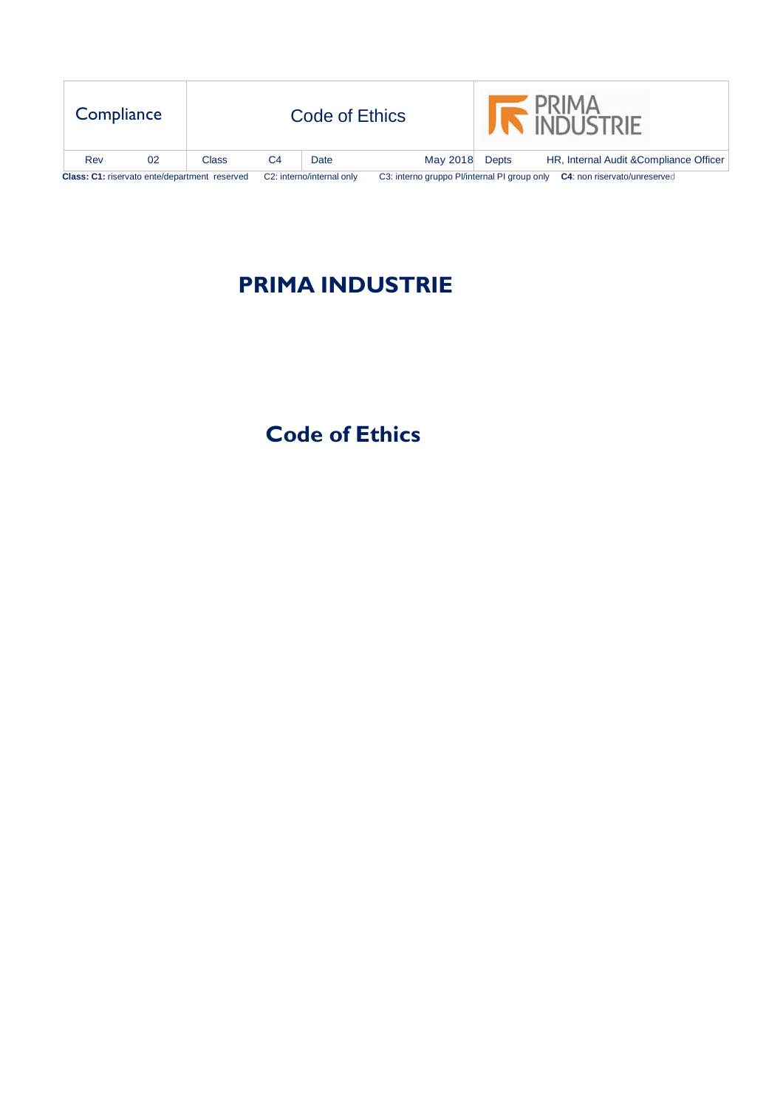| Compliance                                    |    |       |                                                                           | Code of Ethics |          |              | <b>INDUSTRIE</b>                        |
|-----------------------------------------------|----|-------|---------------------------------------------------------------------------|----------------|----------|--------------|-----------------------------------------|
| Rev                                           | 02 | Class | C4                                                                        | Date           | May 2018 | <b>Depts</b> | HR, Internal Audit & Compliance Officer |
| Class: C1: riservato ente/department reserved |    |       | C3: interno gruppo Pl/internal PI group only<br>C2: interno/internal only |                |          |              | C4: non riservato/unreserved            |

# **PRIMA INDUSTRIE**

# **Code of Ethics**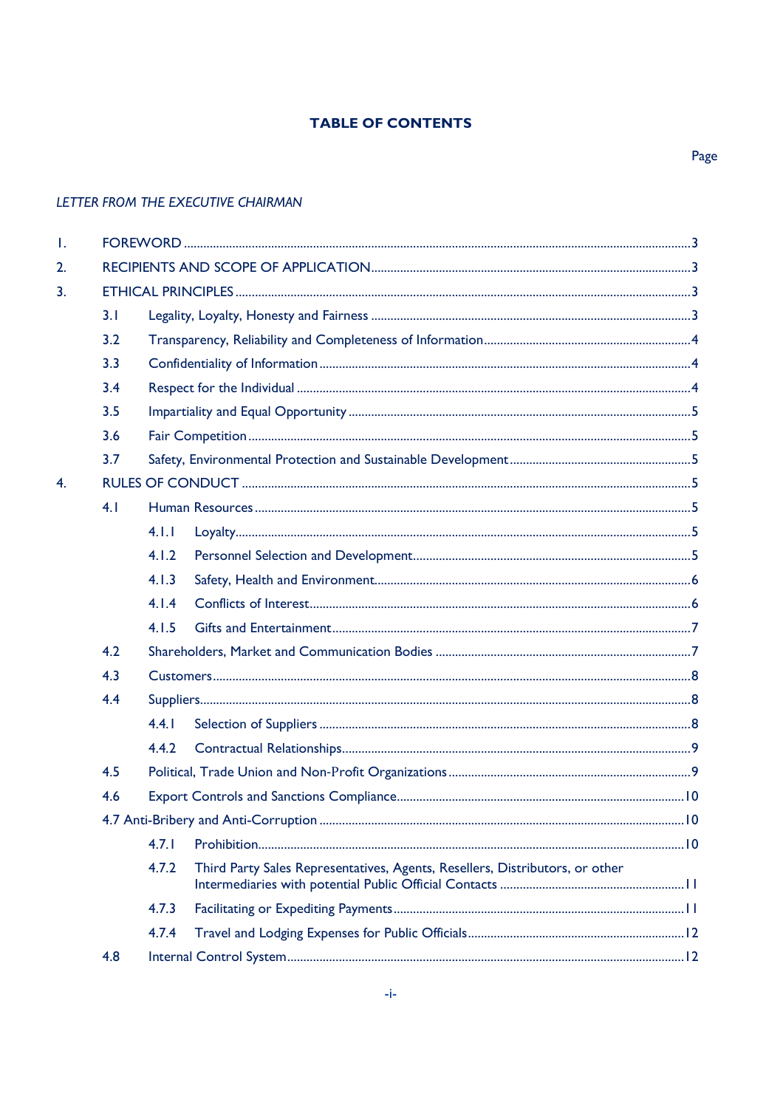# **TABLE OF CONTENTS**

| Τ.               |     |       |                                                                              |  |  |  |  |  |  |  |  |  |
|------------------|-----|-------|------------------------------------------------------------------------------|--|--|--|--|--|--|--|--|--|
| 2.               |     |       |                                                                              |  |  |  |  |  |  |  |  |  |
| 3.               |     |       |                                                                              |  |  |  |  |  |  |  |  |  |
|                  | 3.1 |       |                                                                              |  |  |  |  |  |  |  |  |  |
|                  | 3.2 |       |                                                                              |  |  |  |  |  |  |  |  |  |
|                  | 3.3 |       |                                                                              |  |  |  |  |  |  |  |  |  |
|                  | 3.4 |       |                                                                              |  |  |  |  |  |  |  |  |  |
|                  | 3.5 |       |                                                                              |  |  |  |  |  |  |  |  |  |
|                  | 3.6 |       |                                                                              |  |  |  |  |  |  |  |  |  |
|                  | 3.7 |       |                                                                              |  |  |  |  |  |  |  |  |  |
| $\overline{4}$ . |     |       |                                                                              |  |  |  |  |  |  |  |  |  |
|                  | 4.1 |       |                                                                              |  |  |  |  |  |  |  |  |  |
|                  |     | 4.1.1 |                                                                              |  |  |  |  |  |  |  |  |  |
|                  |     | 4.1.2 |                                                                              |  |  |  |  |  |  |  |  |  |
|                  |     |       |                                                                              |  |  |  |  |  |  |  |  |  |
|                  |     | 4.1.4 |                                                                              |  |  |  |  |  |  |  |  |  |
|                  |     | 4.1.5 |                                                                              |  |  |  |  |  |  |  |  |  |
|                  | 4.2 |       |                                                                              |  |  |  |  |  |  |  |  |  |
|                  | 4.3 |       |                                                                              |  |  |  |  |  |  |  |  |  |
|                  | 4.4 |       |                                                                              |  |  |  |  |  |  |  |  |  |
|                  |     | 4.4.1 |                                                                              |  |  |  |  |  |  |  |  |  |
|                  |     | 4.4.2 |                                                                              |  |  |  |  |  |  |  |  |  |
|                  | 4.5 |       |                                                                              |  |  |  |  |  |  |  |  |  |
|                  | 4.6 |       |                                                                              |  |  |  |  |  |  |  |  |  |
|                  |     |       |                                                                              |  |  |  |  |  |  |  |  |  |
|                  |     | 4.7.1 |                                                                              |  |  |  |  |  |  |  |  |  |
|                  |     | 4.7.2 | Third Party Sales Representatives, Agents, Resellers, Distributors, or other |  |  |  |  |  |  |  |  |  |
|                  |     | 4.7.3 |                                                                              |  |  |  |  |  |  |  |  |  |
|                  |     | 4.7.4 |                                                                              |  |  |  |  |  |  |  |  |  |
|                  | 4.8 |       |                                                                              |  |  |  |  |  |  |  |  |  |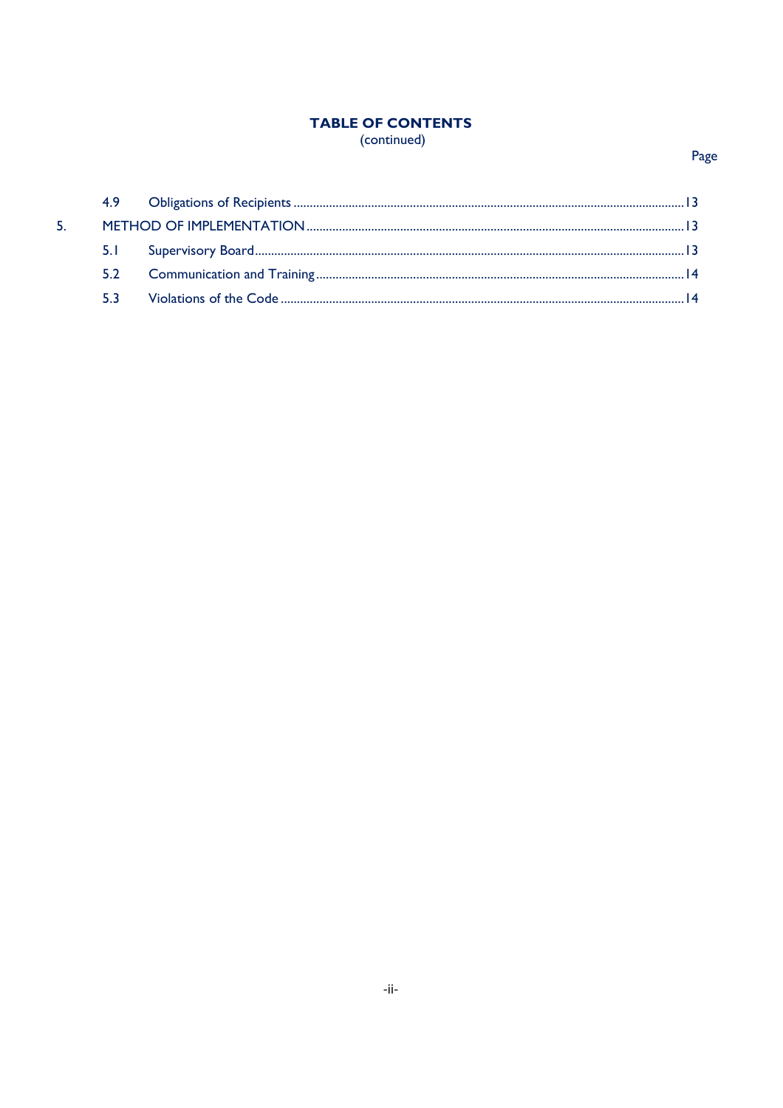# **TABLE OF CONTENTS** (continued)

# Page

| 5. |     |  |
|----|-----|--|
|    |     |  |
|    |     |  |
|    | 53. |  |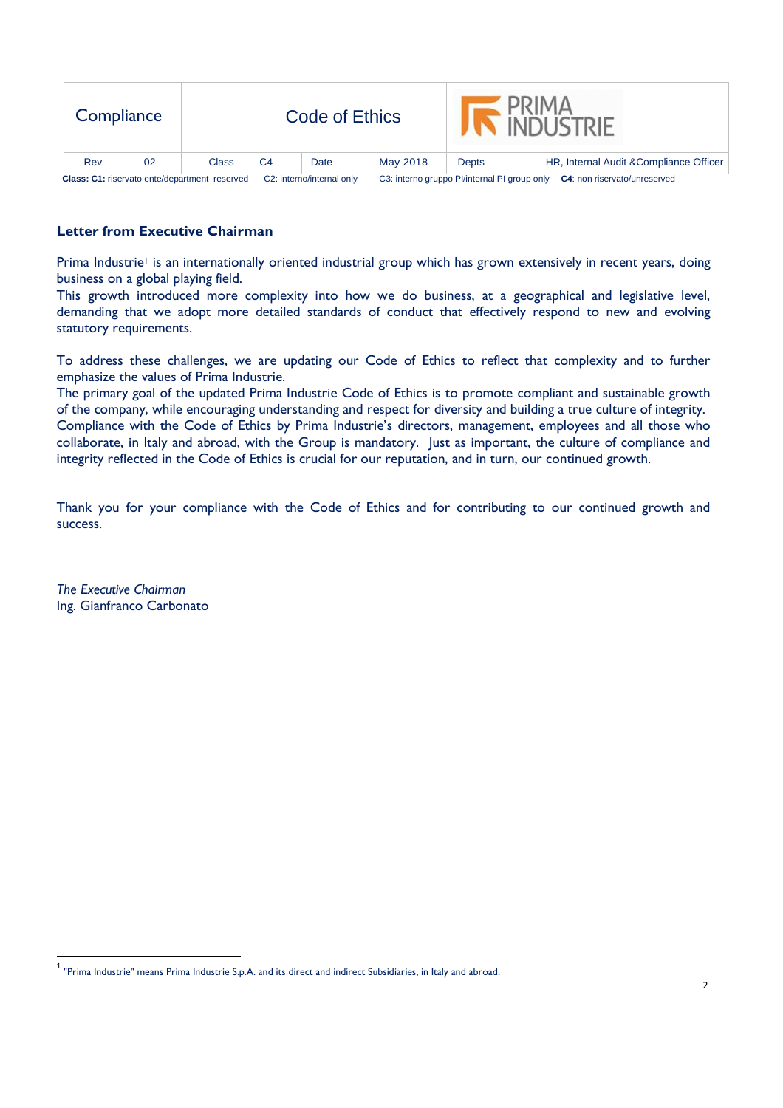| Compliance                                    |     |    |                                        |                                              | Code of Ethics |                                     |       | <b>INDUSTRIE</b>                        |
|-----------------------------------------------|-----|----|----------------------------------------|----------------------------------------------|----------------|-------------------------------------|-------|-----------------------------------------|
|                                               | Rev | 02 | Class                                  | C <sub>4</sub>                               | Date           | May 2018                            | Depts | HR, Internal Audit & Compliance Officer |
| Class: C1: riservato ente/department reserved |     |    | C <sub>2</sub> : interno/internal only | C3: interno gruppo Pl/internal PI group only |                | <b>C4:</b> non riservato/unreserved |       |                                         |

# **Letter from Executive Chairman**

Prima Industrie<sup>1</sup> is an internationally oriented industrial group which has grown extensively in recent years, doing business on a global playing field.

This growth introduced more complexity into how we do business, at a geographical and legislative level, demanding that we adopt more detailed standards of conduct that effectively respond to new and evolving statutory requirements.

To address these challenges, we are updating our Code of Ethics to reflect that complexity and to further emphasize the values of Prima Industrie.

The primary goal of the updated Prima Industrie Code of Ethics is to promote compliant and sustainable growth of the company, while encouraging understanding and respect for diversity and building a true culture of integrity. Compliance with the Code of Ethics by Prima Industrie's directors, management, employees and all those who collaborate, in Italy and abroad, with the Group is mandatory. Just as important, the culture of compliance and integrity reflected in the Code of Ethics is crucial for our reputation, and in turn, our continued growth.

Thank you for your compliance with the Code of Ethics and for contributing to our continued growth and success.

*The Executive Chairman*  Ing. Gianfranco Carbonato

<u>.</u>

 $^{\rm 1}$  "Prima Industrie" means Prima Industrie S.p.A. and its direct and indirect Subsidiaries, in Italy and abroad.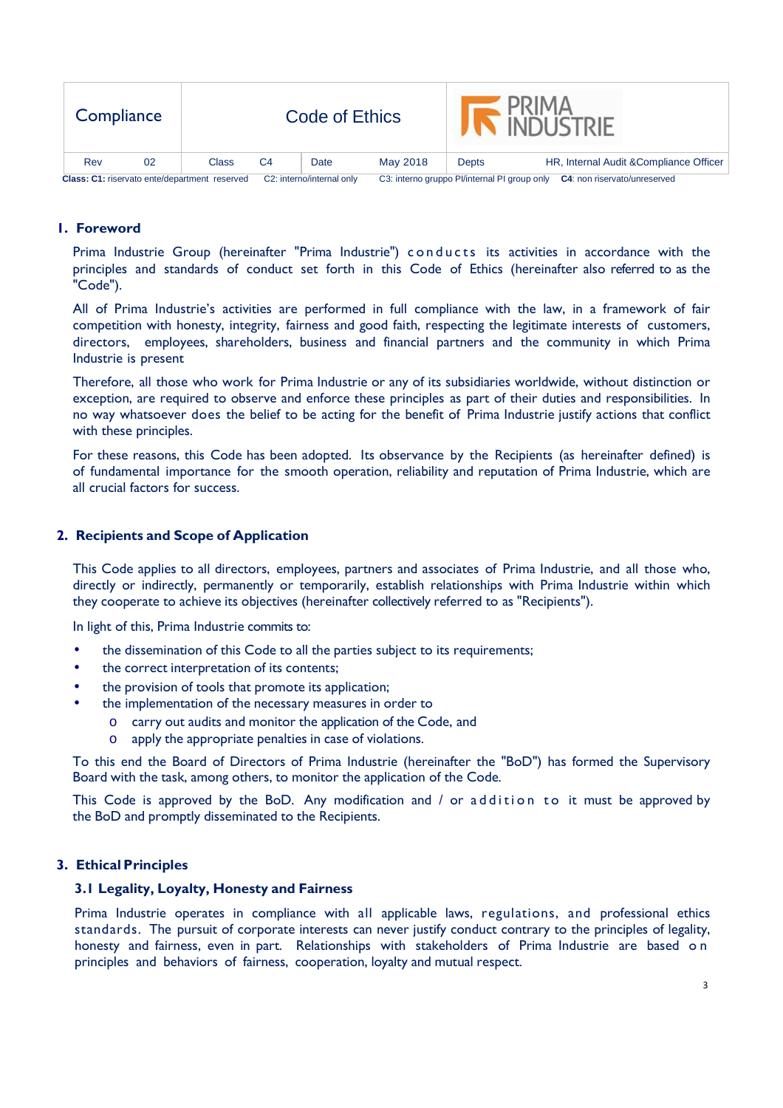| Compliance                                    |    |                           |    | Code of Ethics                                                                      |          |       | <b>PRIMA</b><br><b>INDI ISTRIF</b>      |
|-----------------------------------------------|----|---------------------------|----|-------------------------------------------------------------------------------------|----------|-------|-----------------------------------------|
| Rev                                           | 02 | Class                     | C4 | Date                                                                                | May 2018 | Depts | HR, Internal Audit & Compliance Officer |
| Class: C1: riservato ente/department reserved |    | C2: interno/internal only |    | C3: interno gruppo Pl/internal PI group only<br><b>C4:</b> non riservato/unreserved |          |       |                                         |

## **1. Foreword**

Prima Industrie Group (hereinafter "Prima Industrie") conducts its activities in accordance with the principles and standards of conduct set forth in this Code of Ethics (hereinafter also referred to as the "Code").

All of Prima Industrie's activities are performed in full compliance with the law, in a framework of fair competition with honesty, integrity, fairness and good faith, respecting the legitimate interests of customers, directors, employees, shareholders, business and financial partners and the community in which Prima Industrie is present

Therefore, all those who work for Prima Industrie or any of its subsidiaries worldwide, without distinction or exception, are required to observe and enforce these principles as part of their duties and responsibilities. In no way whatsoever does the belief to be acting for the benefit of Prima Industrie justify actions that conflict with these principles.

For these reasons, this Code has been adopted. Its observance by the Recipients (as hereinafter defined) is of fundamental importance for the smooth operation, reliability and reputation of Prima Industrie, which are all crucial factors for success.

## **2. Recipients and Scope of Application**

This Code applies to all directors, employees, partners and associates of Prima Industrie, and all those who, directly or indirectly, permanently or temporarily, establish relationships with Prima Industrie within which they cooperate to achieve its objectives (hereinafter collectively referred to as "Recipients").

In light of this, Prima Industrie commits to:

- the dissemination of this Code to all the parties subject to its requirements;
- the correct interpretation of its contents;
- the provision of tools that promote its application;
- the implementation of the necessary measures in order to
	- o carry out audits and monitor the application of the Code, and
	- o apply the appropriate penalties in case of violations.

To this end the Board of Directors of Prima Industrie (hereinafter the "BoD") has formed the Supervisory Board with the task, among others, to monitor the application of the Code.

This Code is approved by the BoD. Any modification and  $\ell$  or a d dition to it must be approved by the BoD and promptly disseminated to the Recipients.

## **3. Ethical Principles**

#### **3.1 Legality, Loyalty, Honesty and Fairness**

Prima Industrie operates in compliance with all applicable laws, regulations, and professional ethics standards. The pursuit of corporate interests can never justify conduct contrary to the principles of legality, honesty and fairness, even in part. Relationships with stakeholders of Prima Industrie are based on principles and behaviors of fairness, cooperation, loyalty and mutual respect.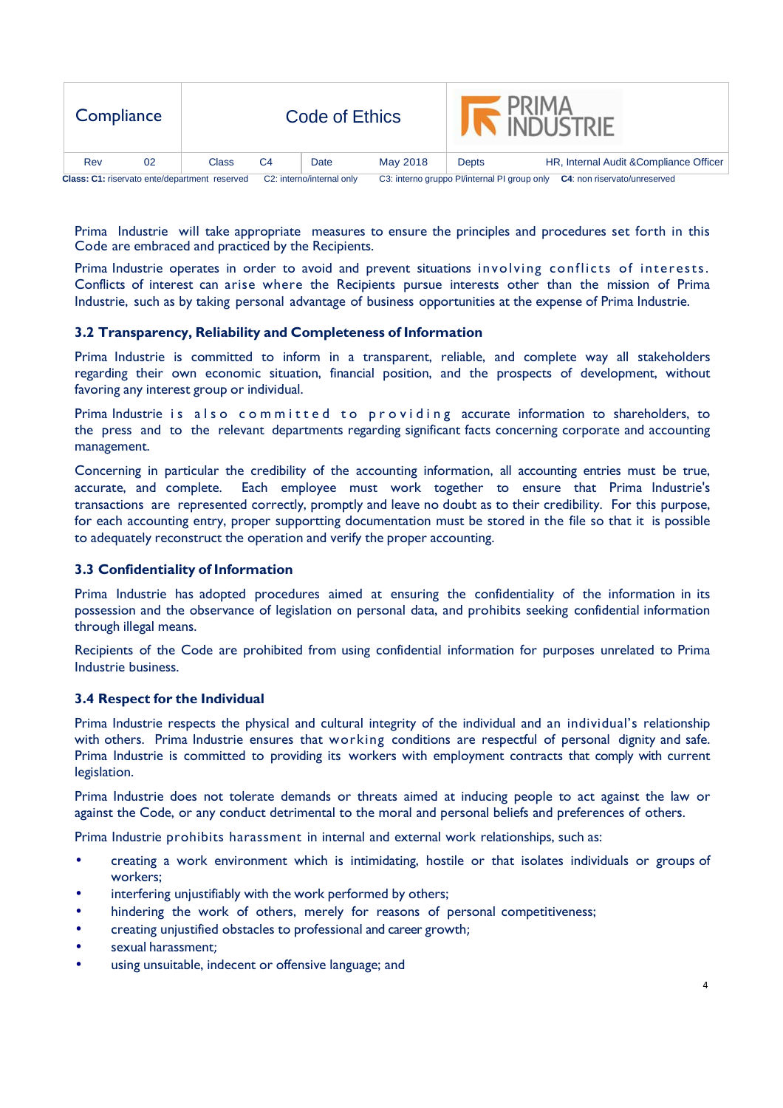| Compliance                                    |    |       |                           | Code of Ethics |                                              |                              | <b>PRIMA</b><br>A INDUSTRIE             |
|-----------------------------------------------|----|-------|---------------------------|----------------|----------------------------------------------|------------------------------|-----------------------------------------|
| Rev                                           | 02 | Class | C <sub>4</sub>            | Date           | May 2018                                     | <b>Depts</b>                 | HR, Internal Audit & Compliance Officer |
| Class: C1: riservato ente/department reserved |    |       | C2: interno/internal only |                | C3: interno gruppo Pl/internal PI group only | C4: non riservato/unreserved |                                         |

Prima Industrie will take appropriate measures to ensure the principles and procedures set forth in this Code are embraced and practiced by the Recipients.

Prima Industrie operates in order to avoid and prevent situations involving conflicts of interests. Conflicts of interest can arise where the Recipients pursue interests other than the mission of Prima Industrie, such as by taking personal advantage of business opportunities at the expense of Prima Industrie.

## **3.2 Transparency, Reliability and Completeness of Information**

Prima Industrie is committed to inform in a transparent, reliable, and complete way all stakeholders regarding their own economic situation, financial position, and the prospects of development, without favoring any interest group or individual.

Prima Industrie is also committed to providing accurate information to shareholders, to the press and to the relevant departments regarding significant facts concerning corporate and accounting management.

Concerning in particular the credibility of the accounting information, all accounting entries must be true, accurate, and complete. Each employee must work together to ensure that Prima Industrie's transactions are represented correctly, promptly and leave no doubt as to their credibility. For this purpose, for each accounting entry, proper supportting documentation must be stored in the file so that it is possible to adequately reconstruct the operation and verify the proper accounting.

## **3.3 Confidentiality of Information**

Prima Industrie has adopted procedures aimed at ensuring the confidentiality of the information in its possession and the observance of legislation on personal data, and prohibits seeking confidential information through illegal means.

Recipients of the Code are prohibited from using confidential information for purposes unrelated to Prima Industrie business.

#### **3.4 Respect for the Individual**

Prima Industrie respects the physical and cultural integrity of the individual and an individual's relationship with others. Prima Industrie ensures that working conditions are respectful of personal dignity and safe. Prima Industrie is committed to providing its workers with employment contracts that comply with current legislation.

Prima Industrie does not tolerate demands or threats aimed at inducing people to act against the law or against the Code, or any conduct detrimental to the moral and personal beliefs and preferences of others.

Prima Industrie prohibits harassment in internal and external work relationships, such as:

- creating a work environment which is intimidating, hostile or that isolates individuals or groups of workers;
- interfering unjustifiably with the work performed by others;
- hindering the work of others, merely for reasons of personal competitiveness;
- creating unjustified obstacles to professional and career growth;
- sexual harassment;
- using unsuitable, indecent or offensive language; and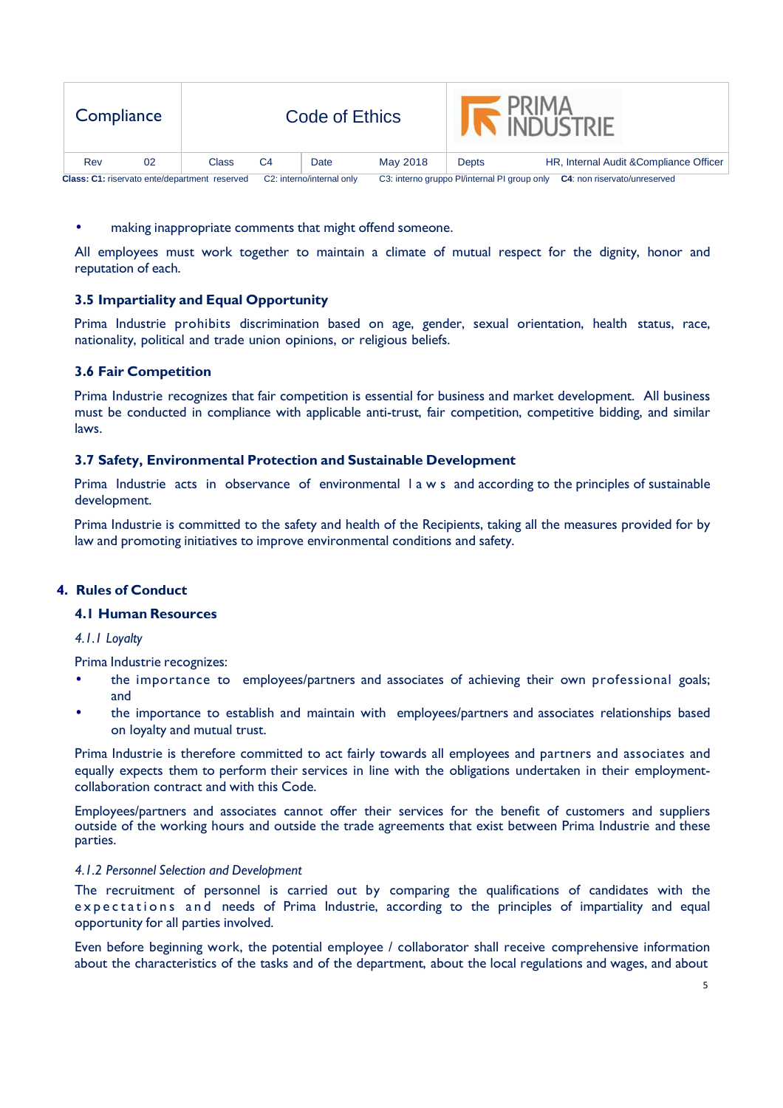| Compliance                                    |    |       |                           | Code of Ethics                                                               |          |       | <b>PRIMA</b><br><b>INDUSTRIE</b>        |
|-----------------------------------------------|----|-------|---------------------------|------------------------------------------------------------------------------|----------|-------|-----------------------------------------|
| Rev                                           | 02 | Class | C4                        | Date                                                                         | May 2018 | Depts | HR, Internal Audit & Compliance Officer |
| Class: C1: riservato ente/department reserved |    |       | C2: interno/internal only | C3: interno gruppo Pl/internal PI group only<br>C4: non riservato/unreserved |          |       |                                         |

making inappropriate comments that might offend someone.

All employees must work together to maintain a climate of mutual respect for the dignity, honor and reputation of each.

## **3.5 Impartiality and Equal Opportunity**

Prima Industrie prohibits discrimination based on age, gender, sexual orientation, health status, race, nationality, political and trade union opinions, or religious beliefs.

## **3.6 Fair Competition**

Prima Industrie recognizes that fair competition is essential for business and market development. All business must be conducted in compliance with applicable anti-trust, fair competition, competitive bidding, and similar laws.

## **3.7 Safety, Environmental Protection and Sustainable Development**

Prima Industrie acts in observance of environmental l a w s and according to the principles of sustainable development.

Prima Industrie is committed to the safety and health of the Recipients, taking all the measures provided for by law and promoting initiatives to improve environmental conditions and safety.

## **4. Rules of Conduct**

## **4.1 Human Resources**

*4.1.1 Loyalty* 

Prima Industrie recognizes:

- the importance to employees/partners and associates of achieving their own professional goals; and
- the importance to establish and maintain with employees/partners and associates relationships based on loyalty and mutual trust.

Prima Industrie is therefore committed to act fairly towards all employees and partners and associates and equally expects them to perform their services in line with the obligations undertaken in their employmentcollaboration contract and with this Code.

Employees/partners and associates cannot offer their services for the benefit of customers and suppliers outside of the working hours and outside the trade agreements that exist between Prima Industrie and these parties.

#### *4.1.2 Personnel Selection and Development*

The recruitment of personnel is carried out by comparing the qualifications of candidates with the expectations and needs of Prima Industrie, according to the principles of impartiality and equal opportunity for all parties involved.

Even before beginning work, the potential employee / collaborator shall receive comprehensive information about the characteristics of the tasks and of the department, about the local regulations and wages, and about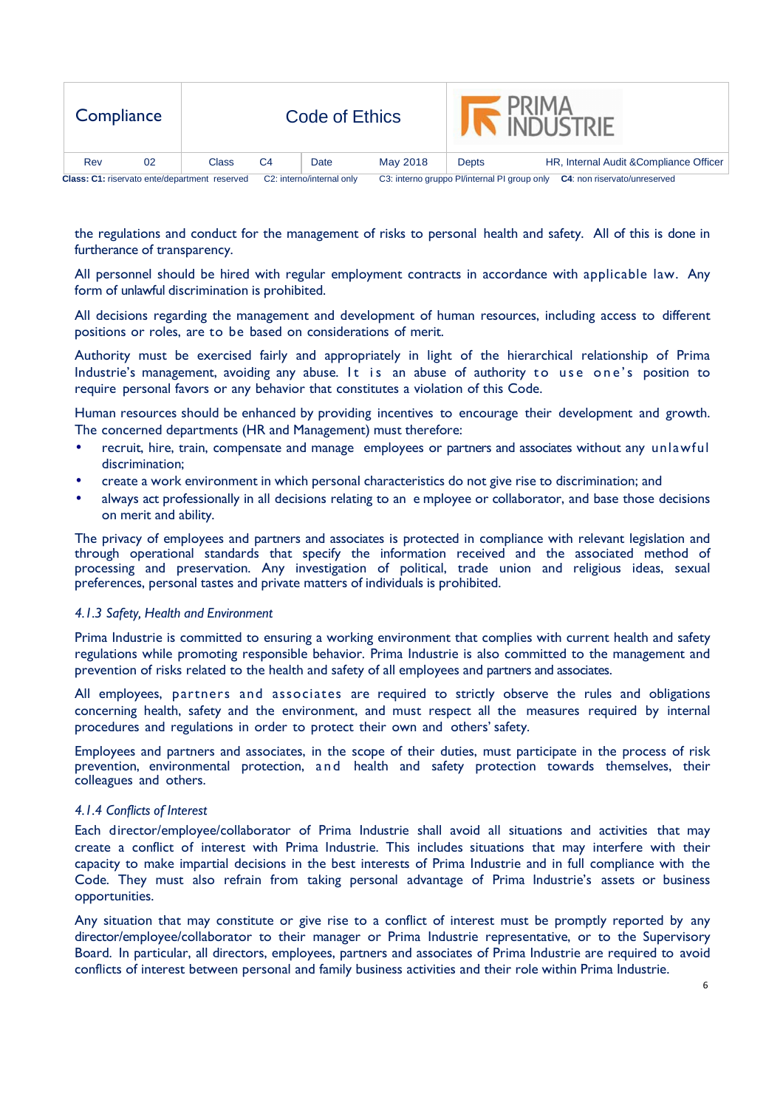| Compliance                                    |    |       |                           | Code of Ethics |                                              |                              | <b>PRIMA</b><br>A INDUSTRIE             |
|-----------------------------------------------|----|-------|---------------------------|----------------|----------------------------------------------|------------------------------|-----------------------------------------|
| Rev                                           | 02 | Class | C <sub>4</sub>            | Date           | May 2018                                     | <b>Depts</b>                 | HR, Internal Audit & Compliance Officer |
| Class: C1: riservato ente/department reserved |    |       | C2: interno/internal only |                | C3: interno gruppo Pl/internal PI group only | C4: non riservato/unreserved |                                         |

the regulations and conduct for the management of risks to personal health and safety. All of this is done in furtherance of transparency.

All personnel should be hired with regular employment contracts in accordance with applicable law. Any form of unlawful discrimination is prohibited.

All decisions regarding the management and development of human resources, including access to different positions or roles, are to be based on considerations of merit.

Authority must be exercised fairly and appropriately in light of the hierarchical relationship of Prima Industrie's management, avoiding any abuse. It is an abuse of authority to use one's position to require personal favors or any behavior that constitutes a violation of this Code.

Human resources should be enhanced by providing incentives to encourage their development and growth. The concerned departments (HR and Management) must therefore:

- recruit, hire, train, compensate and manage employees or partners and associates without any unlawful discrimination;
- create a work environment in which personal characteristics do not give rise to discrimination; and
- always act professionally in all decisions relating to an e mployee or collaborator, and base those decisions on merit and ability.

The privacy of employees and partners and associates is protected in compliance with relevant legislation and through operational standards that specify the information received and the associated method of processing and preservation. Any investigation of political, trade union and religious ideas, sexual preferences, personal tastes and private matters of individuals is prohibited.

#### *4.1.3 Safety, Health and Environment*

Prima Industrie is committed to ensuring a working environment that complies with current health and safety regulations while promoting responsible behavior. Prima Industrie is also committed to the management and prevention of risks related to the health and safety of all employees and partners and associates.

All employees, partners and associates are required to strictly observe the rules and obligations concerning health, safety and the environment, and must respect all the measures required by internal procedures and regulations in order to protect their own and others' safety.

Employees and partners and associates, in the scope of their duties, must participate in the process of risk prevention, environmental protection, a nd health and safety protection towards themselves, their colleagues and others.

#### *4.1.4 Conflicts of Interest*

Each director/employee/collaborator of Prima Industrie shall avoid all situations and activities that may create a conflict of interest with Prima Industrie. This includes situations that may interfere with their capacity to make impartial decisions in the best interests of Prima Industrie and in full compliance with the Code. They must also refrain from taking personal advantage of Prima Industrie's assets or business opportunities.

Any situation that may constitute or give rise to a conflict of interest must be promptly reported by any director/employee/collaborator to their manager or Prima Industrie representative, or to the Supervisory Board. In particular, all directors, employees, partners and associates of Prima Industrie are required to avoid conflicts of interest between personal and family business activities and their role within Prima Industrie.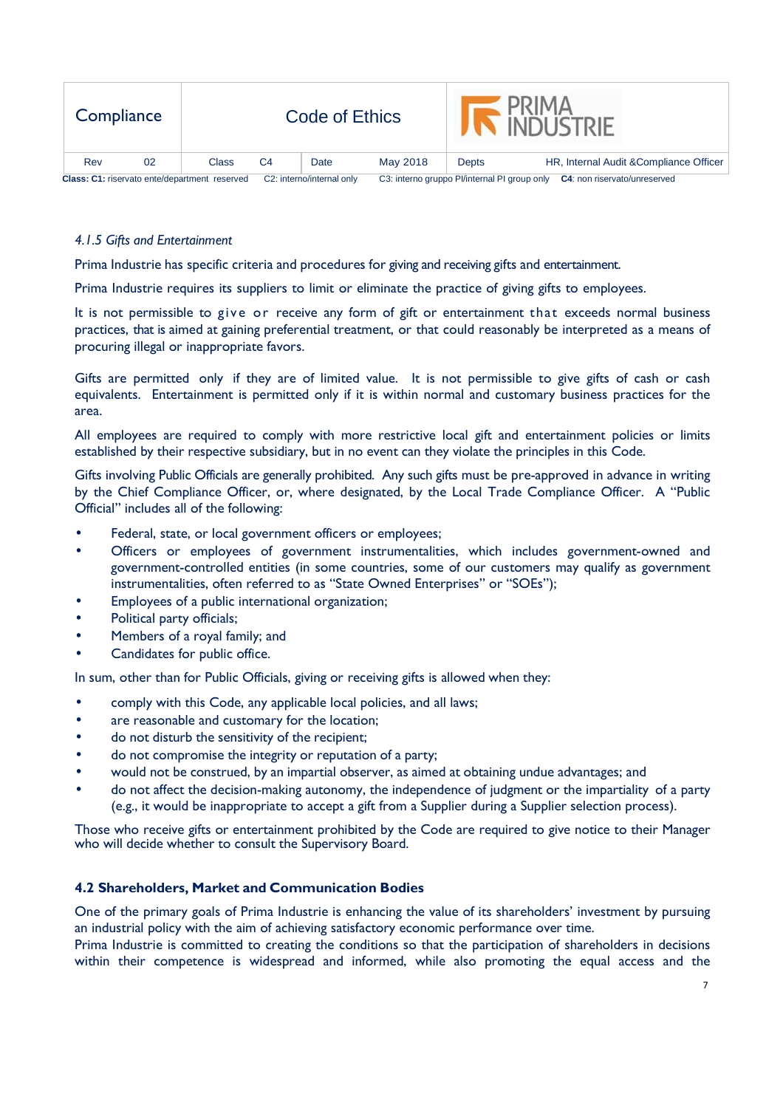| Compliance                                    |    |                           |    | Code of Ethics                                                                      |          |       | <b>PRIMA</b><br><b>INDI ISTRIF</b>      |
|-----------------------------------------------|----|---------------------------|----|-------------------------------------------------------------------------------------|----------|-------|-----------------------------------------|
| Rev                                           | 02 | Class                     | C4 | Date                                                                                | May 2018 | Depts | HR, Internal Audit & Compliance Officer |
| Class: C1: riservato ente/department reserved |    | C2: interno/internal only |    | C3: interno gruppo Pl/internal PI group only<br><b>C4:</b> non riservato/unreserved |          |       |                                         |

## *4.1.5 Gifts and Entertainment*

Prima Industrie has specific criteria and procedures for giving and receiving gifts and entertainment.

Prima Industrie requires its suppliers to limit or eliminate the practice of giving gifts to employees.

It is not permissible to give or receive any form of gift or entertainment that exceeds normal business practices, that is aimed at gaining preferential treatment, or that could reasonably be interpreted as a means of procuring illegal or inappropriate favors.

Gifts are permitted only if they are of limited value. It is not permissible to give gifts of cash or cash equivalents. Entertainment is permitted only if it is within normal and customary business practices for the area.

All employees are required to comply with more restrictive local gift and entertainment policies or limits established by their respective subsidiary, but in no event can they violate the principles in this Code.

Gifts involving Public Officials are generally prohibited. Any such gifts must be pre-approved in advance in writing by the Chief Compliance Officer, or, where designated, by the Local Trade Compliance Officer. A "Public Official" includes all of the following:

- Federal, state, or local government officers or employees;
- Officers or employees of government instrumentalities, which includes government-owned and government-controlled entities (in some countries, some of our customers may qualify as government instrumentalities, often referred to as "State Owned Enterprises" or "SOEs");
- Employees of a public international organization;
- Political party officials;
- Members of a royal family; and
- Candidates for public office.

In sum, other than for Public Officials, giving or receiving gifts is allowed when they:

- comply with this Code, any applicable local policies, and all laws;
- are reasonable and customary for the location;
- do not disturb the sensitivity of the recipient;
- do not compromise the integrity or reputation of a party;
- would not be construed, by an impartial observer, as aimed at obtaining undue advantages; and
- do not affect the decision-making autonomy, the independence of judgment or the impartiality of a party (e.g., it would be inappropriate to accept a gift from a Supplier during a Supplier selection process).

Those who receive gifts or entertainment prohibited by the Code are required to give notice to their Manager who will decide whether to consult the Supervisory Board.

## **4.2 Shareholders, Market and Communication Bodies**

One of the primary goals of Prima Industrie is enhancing the value of its shareholders' investment by pursuing an industrial policy with the aim of achieving satisfactory economic performance over time.

Prima Industrie is committed to creating the conditions so that the participation of shareholders in decisions within their competence is widespread and informed, while also promoting the equal access and the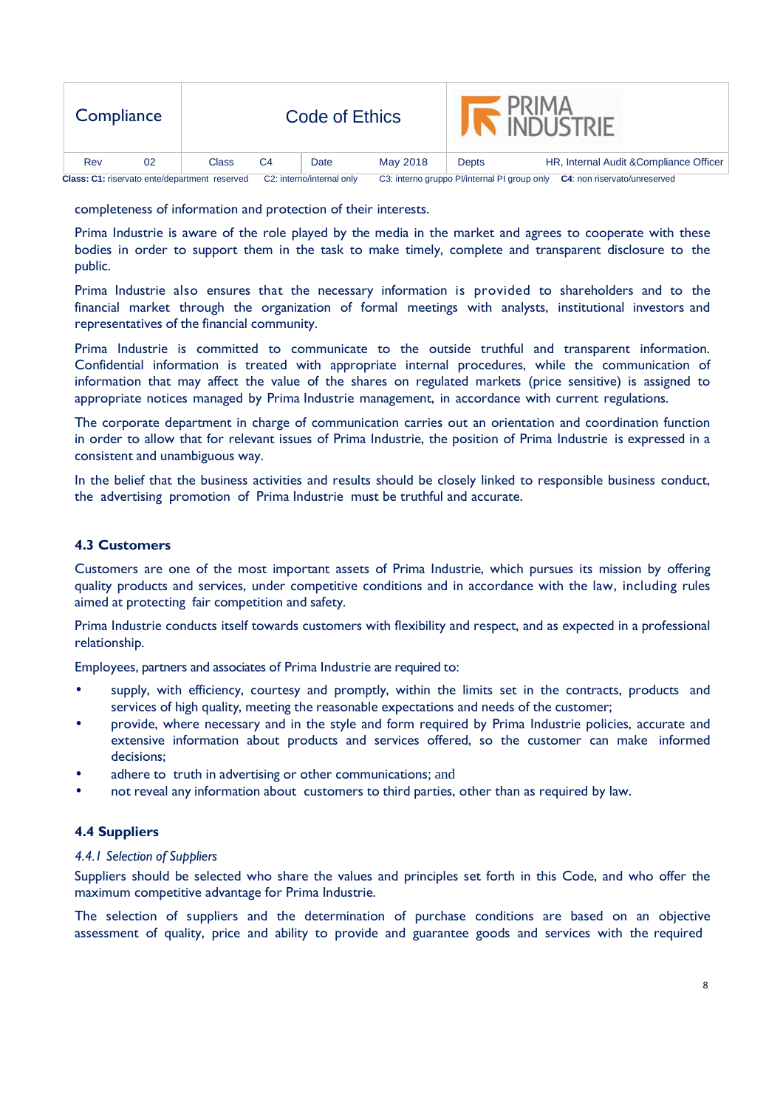| Compliance                                    |    |                           |    | Code of Ethics                                                                      |          |       | <b>PRIMA</b><br><b>INDI ISTRIF</b>      |
|-----------------------------------------------|----|---------------------------|----|-------------------------------------------------------------------------------------|----------|-------|-----------------------------------------|
| Rev                                           | 02 | Class                     | C4 | Date                                                                                | May 2018 | Depts | HR, Internal Audit & Compliance Officer |
| Class: C1: riservato ente/department reserved |    | C2: interno/internal only |    | C3: interno gruppo Pl/internal PI group only<br><b>C4:</b> non riservato/unreserved |          |       |                                         |

completeness of information and protection of their interests.

Prima Industrie is aware of the role played by the media in the market and agrees to cooperate with these bodies in order to support them in the task to make timely, complete and transparent disclosure to the public.

Prima Industrie also ensures that the necessary information is provided to shareholders and to the financial market through the organization of formal meetings with analysts, institutional investors and representatives of the financial community.

Prima Industrie is committed to communicate to the outside truthful and transparent information. Confidential information is treated with appropriate internal procedures, while the communication of information that may affect the value of the shares on regulated markets (price sensitive) is assigned to appropriate notices managed by Prima Industrie management, in accordance with current regulations.

The corporate department in charge of communication carries out an orientation and coordination function in order to allow that for relevant issues of Prima Industrie, the position of Prima Industrie is expressed in a consistent and unambiguous way.

In the belief that the business activities and results should be closely linked to responsible business conduct, the advertising promotion of Prima Industrie must be truthful and accurate.

## **4.3 Customers**

Customers are one of the most important assets of Prima Industrie, which pursues its mission by offering quality products and services, under competitive conditions and in accordance with the law, including rules aimed at protecting fair competition and safety.

Prima Industrie conducts itself towards customers with flexibility and respect, and as expected in a professional relationship.

Employees, partners and associates of Prima Industrie are required to:

- supply, with efficiency, courtesy and promptly, within the limits set in the contracts, products and services of high quality, meeting the reasonable expectations and needs of the customer;
- provide, where necessary and in the style and form required by Prima Industrie policies, accurate and extensive information about products and services offered, so the customer can make informed decisions;
- adhere to truth in advertising or other communications; and
- not reveal any information about customers to third parties, other than as required by law.

## **4.4 Suppliers**

#### *4.4.1 Selection of Suppliers*

Suppliers should be selected who share the values and principles set forth in this Code, and who offer the maximum competitive advantage for Prima Industrie.

The selection of suppliers and the determination of purchase conditions are based on an objective assessment of quality, price and ability to provide and guarantee goods and services with the required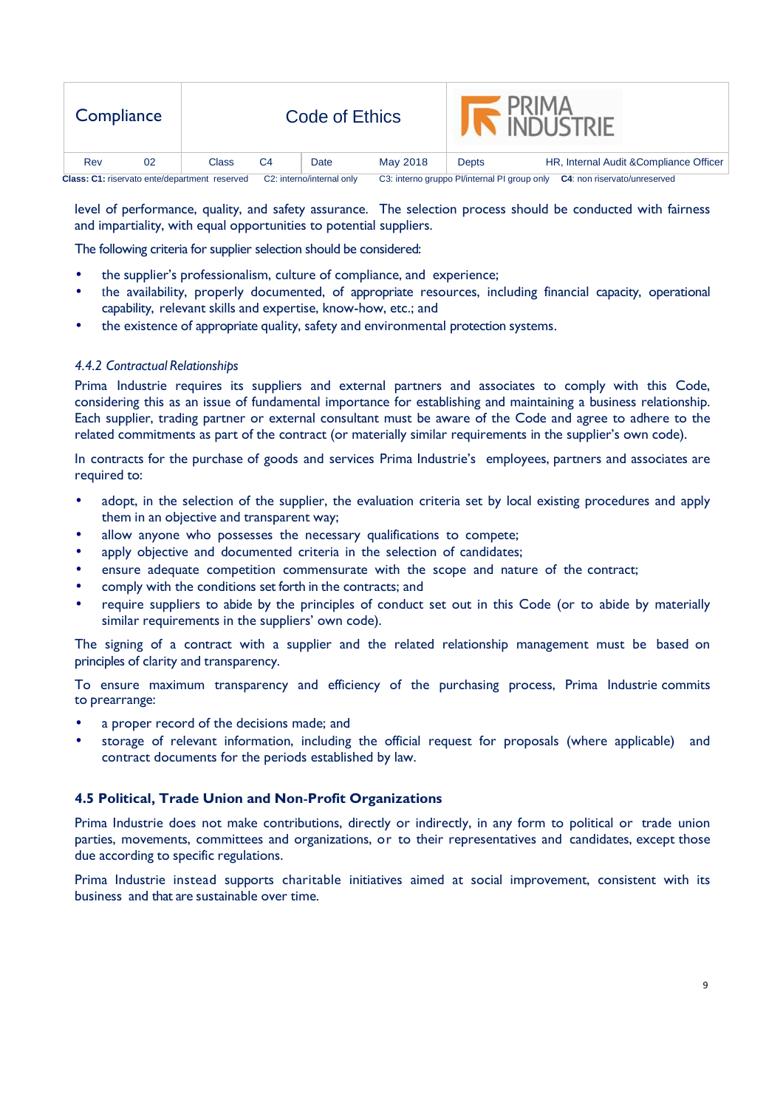| Compliance                                    |    |                           |    | Code of Ethics                                                                      |          |       | PRIMA<br><b>INDUSTRIE</b>               |
|-----------------------------------------------|----|---------------------------|----|-------------------------------------------------------------------------------------|----------|-------|-----------------------------------------|
| Rev                                           | 02 | Class                     | C4 | Date                                                                                | May 2018 | Depts | HR, Internal Audit & Compliance Officer |
| Class: C1: riservato ente/department reserved |    | C2: interno/internal only |    | C3: interno gruppo Pl/internal PI group only<br><b>C4:</b> non riservato/unreserved |          |       |                                         |

level of performance, quality, and safety assurance. The selection process should be conducted with fairness and impartiality, with equal opportunities to potential suppliers.

The following criteria for supplier selection should be considered:

- the supplier's professionalism, culture of compliance, and experience;
- the availability, properly documented, of appropriate resources, including financial capacity, operational capability, relevant skills and expertise, know-how, etc.; and
- the existence of appropriate quality, safety and environmental protection systems.

#### *4.4.2 Contractual Relationships*

Prima Industrie requires its suppliers and external partners and associates to comply with this Code, considering this as an issue of fundamental importance for establishing and maintaining a business relationship. Each supplier, trading partner or external consultant must be aware of the Code and agree to adhere to the related commitments as part of the contract (or materially similar requirements in the supplier's own code).

In contracts for the purchase of goods and services Prima Industrie's employees, partners and associates are required to:

- adopt, in the selection of the supplier, the evaluation criteria set by local existing procedures and apply them in an objective and transparent way;
- allow anyone who possesses the necessary qualifications to compete;
- apply objective and documented criteria in the selection of candidates;
- ensure adequate competition commensurate with the scope and nature of the contract;
- comply with the conditions set forth in the contracts; and
- require suppliers to abide by the principles of conduct set out in this Code (or to abide by materially similar requirements in the suppliers' own code).

The signing of a contract with a supplier and the related relationship management must be based on principles of clarity and transparency.

To ensure maximum transparency and efficiency of the purchasing process, Prima Industrie commits to prearrange:

- a proper record of the decisions made; and
- storage of relevant information, including the official request for proposals (where applicable) and contract documents for the periods established by law.

## **4.5 Political, Trade Union and Non**‐**Profit Organizations**

Prima Industrie does not make contributions, directly or indirectly, in any form to political or trade union parties, movements, committees and organizations, or to their representatives and candidates, except those due according to specific regulations.

Prima Industrie instead supports charitable initiatives aimed at social improvement, consistent with its business and that are sustainable over time.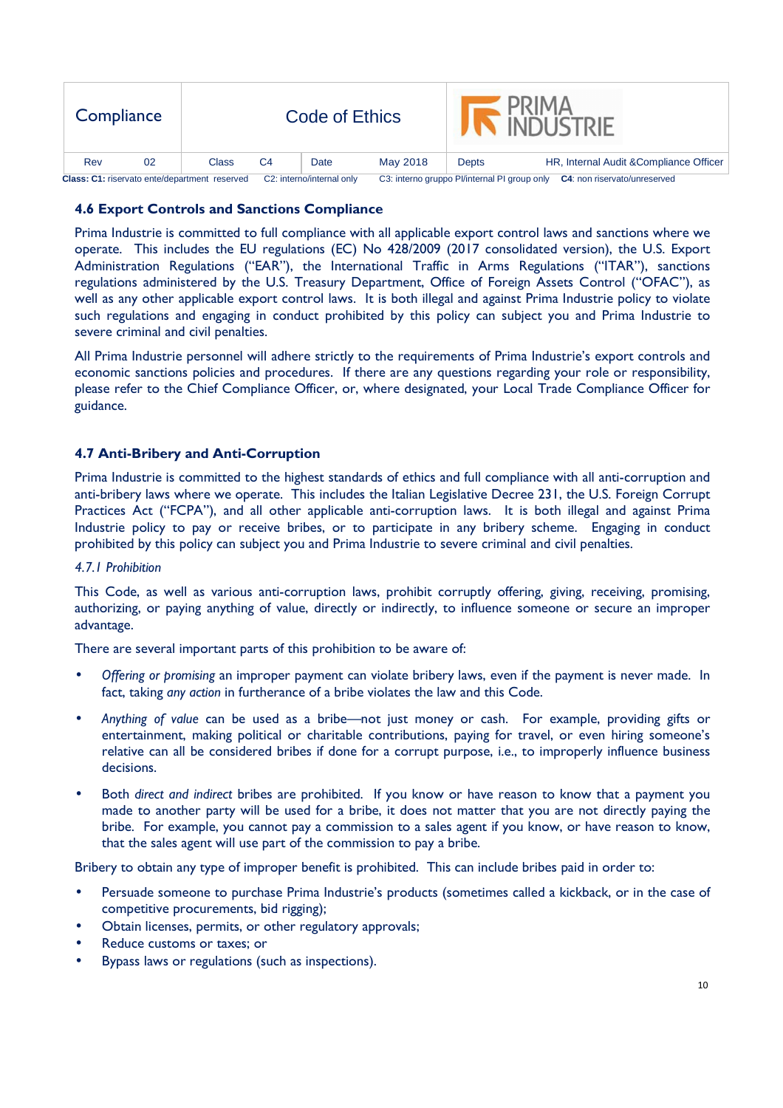| Compliance                                    |    |                           |    | <b>Code of Ethics</b> |                                              |                                     | <b>PRIMA</b><br>INDI ISTRIE             |
|-----------------------------------------------|----|---------------------------|----|-----------------------|----------------------------------------------|-------------------------------------|-----------------------------------------|
| Rev                                           | 02 | Class                     | C4 | Date                  | May 2018                                     | Depts                               | HR, Internal Audit & Compliance Officer |
| Class: C1: riservato ente/department reserved |    | C2: interno/internal only |    |                       | C3: interno gruppo Pl/internal PI group only | <b>C4:</b> non riservato/unreserved |                                         |

# **4.6 Export Controls and Sanctions Compliance**

Prima Industrie is committed to full compliance with all applicable export control laws and sanctions where we operate. This includes the EU regulations (EC) No 428/2009 (2017 consolidated version), the U.S. Export Administration Regulations ("EAR"), the International Traffic in Arms Regulations ("ITAR"), sanctions regulations administered by the U.S. Treasury Department, Office of Foreign Assets Control ("OFAC"), as well as any other applicable export control laws. It is both illegal and against Prima Industrie policy to violate such regulations and engaging in conduct prohibited by this policy can subject you and Prima Industrie to severe criminal and civil penalties.

All Prima Industrie personnel will adhere strictly to the requirements of Prima Industrie's export controls and economic sanctions policies and procedures. If there are any questions regarding your role or responsibility, please refer to the Chief Compliance Officer, or, where designated, your Local Trade Compliance Officer for guidance.

## **4.7 Anti-Bribery and Anti-Corruption**

Prima Industrie is committed to the highest standards of ethics and full compliance with all anti-corruption and anti-bribery laws where we operate. This includes the Italian Legislative Decree 231, the U.S. Foreign Corrupt Practices Act ("FCPA"), and all other applicable anti-corruption laws. It is both illegal and against Prima Industrie policy to pay or receive bribes, or to participate in any bribery scheme. Engaging in conduct prohibited by this policy can subject you and Prima Industrie to severe criminal and civil penalties.

## *4.7.1 Prohibition*

This Code, as well as various anti-corruption laws, prohibit corruptly offering, giving, receiving, promising, authorizing, or paying anything of value, directly or indirectly, to influence someone or secure an improper advantage.

There are several important parts of this prohibition to be aware of:

- *Offering or promising* an improper payment can violate bribery laws, even if the payment is never made. In fact, taking *any action* in furtherance of a bribe violates the law and this Code.
- *Anything of value* can be used as a bribe—not just money or cash. For example, providing gifts or entertainment, making political or charitable contributions, paying for travel, or even hiring someone's relative can all be considered bribes if done for a corrupt purpose, i.e., to improperly influence business decisions.
- Both *direct and indirect* bribes are prohibited. If you know or have reason to know that a payment you made to another party will be used for a bribe, it does not matter that you are not directly paying the bribe. For example, you cannot pay a commission to a sales agent if you know, or have reason to know, that the sales agent will use part of the commission to pay a bribe.

Bribery to obtain any type of improper benefit is prohibited. This can include bribes paid in order to:

- Persuade someone to purchase Prima Industrie's products (sometimes called a kickback, or in the case of competitive procurements, bid rigging);
- Obtain licenses, permits, or other regulatory approvals;
- Reduce customs or taxes; or
- Bypass laws or regulations (such as inspections).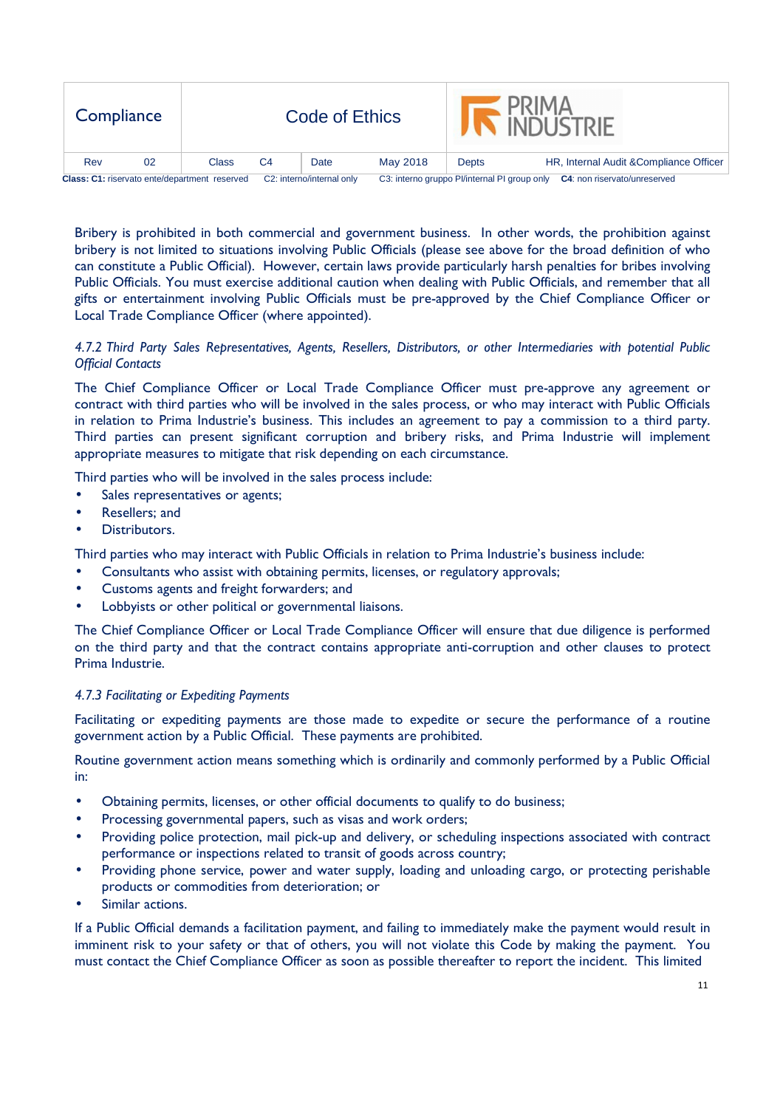| Compliance                                           |    |       |                           | Code of Ethics |          |                                              | <b>INDUSTRIE</b>                        |
|------------------------------------------------------|----|-------|---------------------------|----------------|----------|----------------------------------------------|-----------------------------------------|
| Rev                                                  | 02 | Class | C4                        | Date           | May 2018 | Depts                                        | HR, Internal Audit & Compliance Officer |
| <b>Class: C1: riservato ente/department reserved</b> |    |       | C2: interno/internal only |                |          | C3: interno gruppo Pl/internal PI group only | C4: non riservato/unreserved            |

Bribery is prohibited in both commercial and government business. In other words, the prohibition against bribery is not limited to situations involving Public Officials (please see above for the broad definition of who can constitute a Public Official). However, certain laws provide particularly harsh penalties for bribes involving Public Officials. You must exercise additional caution when dealing with Public Officials, and remember that all gifts or entertainment involving Public Officials must be pre-approved by the Chief Compliance Officer or Local Trade Compliance Officer (where appointed).

## *4.7.2 Third Party Sales Representatives, Agents, Resellers, Distributors, or other Intermediaries with potential Public Official Contacts*

The Chief Compliance Officer or Local Trade Compliance Officer must pre-approve any agreement or contract with third parties who will be involved in the sales process, or who may interact with Public Officials in relation to Prima Industrie's business. This includes an agreement to pay a commission to a third party. Third parties can present significant corruption and bribery risks, and Prima Industrie will implement appropriate measures to mitigate that risk depending on each circumstance.

Third parties who will be involved in the sales process include:

- Sales representatives or agents;
- Resellers; and
- Distributors.

Third parties who may interact with Public Officials in relation to Prima Industrie's business include:

- Consultants who assist with obtaining permits, licenses, or regulatory approvals;
- Customs agents and freight forwarders; and
- Lobbyists or other political or governmental liaisons.

The Chief Compliance Officer or Local Trade Compliance Officer will ensure that due diligence is performed on the third party and that the contract contains appropriate anti-corruption and other clauses to protect Prima Industrie.

#### *4.7.3 Facilitating or Expediting Payments*

Facilitating or expediting payments are those made to expedite or secure the performance of a routine government action by a Public Official. These payments are prohibited.

Routine government action means something which is ordinarily and commonly performed by a Public Official in:

- Obtaining permits, licenses, or other official documents to qualify to do business;
- Processing governmental papers, such as visas and work orders;
- Providing police protection, mail pick-up and delivery, or scheduling inspections associated with contract performance or inspections related to transit of goods across country;
- Providing phone service, power and water supply, loading and unloading cargo, or protecting perishable products or commodities from deterioration; or
- Similar actions.

If a Public Official demands a facilitation payment, and failing to immediately make the payment would result in imminent risk to your safety or that of others, you will not violate this Code by making the payment. You must contact the Chief Compliance Officer as soon as possible thereafter to report the incident. This limited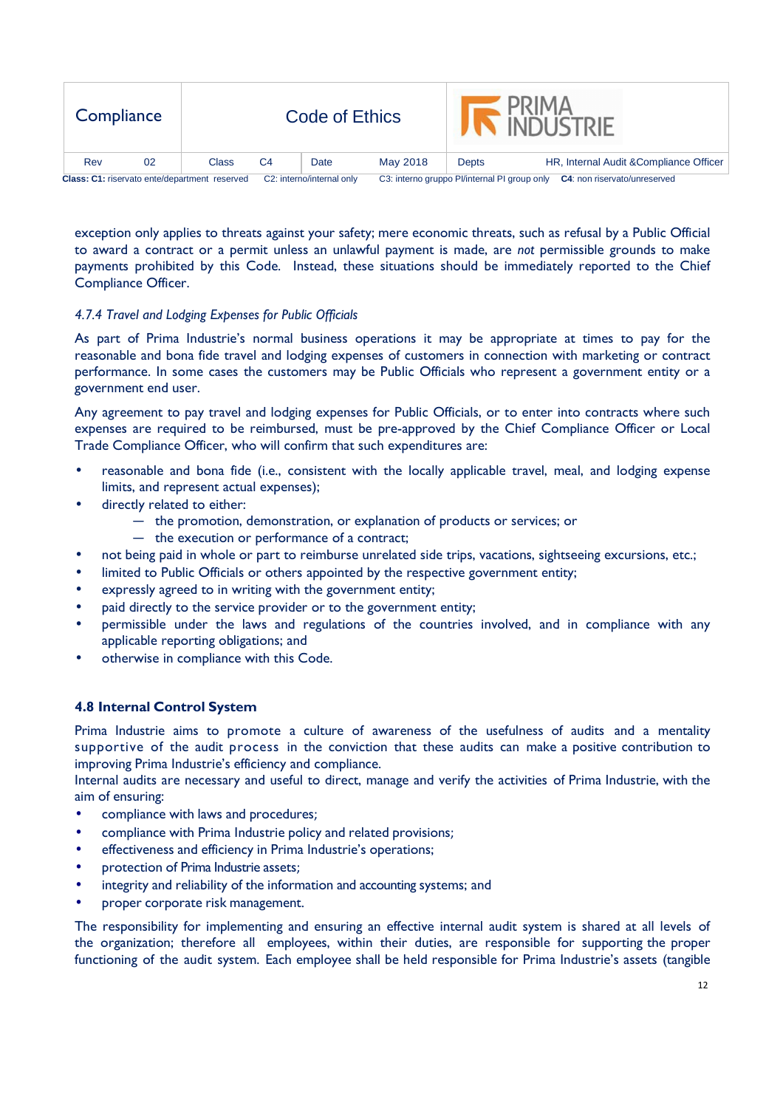| Compliance                                    |    |       |                           | Code of Ethics |          |                                              | <b>INDI ISTRIF</b>                      |
|-----------------------------------------------|----|-------|---------------------------|----------------|----------|----------------------------------------------|-----------------------------------------|
| Rev                                           | 02 | Class | C4                        | Date           | May 2018 | Depts                                        | HR, Internal Audit & Compliance Officer |
| Class: C1: riservato ente/department reserved |    |       | C2: interno/internal only |                |          | C3: interno gruppo Pl/internal PI group only | <b>C4:</b> non riservato/unreserved     |

exception only applies to threats against your safety; mere economic threats, such as refusal by a Public Official to award a contract or a permit unless an unlawful payment is made, are *not* permissible grounds to make payments prohibited by this Code. Instead, these situations should be immediately reported to the Chief Compliance Officer.

## *4.7.4 Travel and Lodging Expenses for Public Officials*

As part of Prima Industrie's normal business operations it may be appropriate at times to pay for the reasonable and bona fide travel and lodging expenses of customers in connection with marketing or contract performance. In some cases the customers may be Public Officials who represent a government entity or a government end user.

Any agreement to pay travel and lodging expenses for Public Officials, or to enter into contracts where such expenses are required to be reimbursed, must be pre-approved by the Chief Compliance Officer or Local Trade Compliance Officer, who will confirm that such expenditures are:

- reasonable and bona fide (i.e., consistent with the locally applicable travel, meal, and lodging expense limits, and represent actual expenses);
- directly related to either:
	- ― the promotion, demonstration, or explanation of products or services; or
	- ― the execution or performance of a contract;
- not being paid in whole or part to reimburse unrelated side trips, vacations, sightseeing excursions, etc.;
- limited to Public Officials or others appointed by the respective government entity;
- expressly agreed to in writing with the government entity;
- paid directly to the service provider or to the government entity;
- permissible under the laws and regulations of the countries involved, and in compliance with any applicable reporting obligations; and
- otherwise in compliance with this Code.

# **4.8 Internal Control System**

Prima Industrie aims to promote a culture of awareness of the usefulness of audits and a mentality supportive of the audit process in the conviction that these audits can make a positive contribution to improving Prima Industrie's efficiency and compliance.

Internal audits are necessary and useful to direct, manage and verify the activities of Prima Industrie, with the aim of ensuring:

- compliance with laws and procedures;
- compliance with Prima Industrie policy and related provisions;
- effectiveness and efficiency in Prima Industrie's operations;
- protection of Prima Industrie assets;
- integrity and reliability of the information and accounting systems; and
- proper corporate risk management.

The responsibility for implementing and ensuring an effective internal audit system is shared at all levels of the organization; therefore all employees, within their duties, are responsible for supporting the proper functioning of the audit system. Each employee shall be held responsible for Prima Industrie's assets (tangible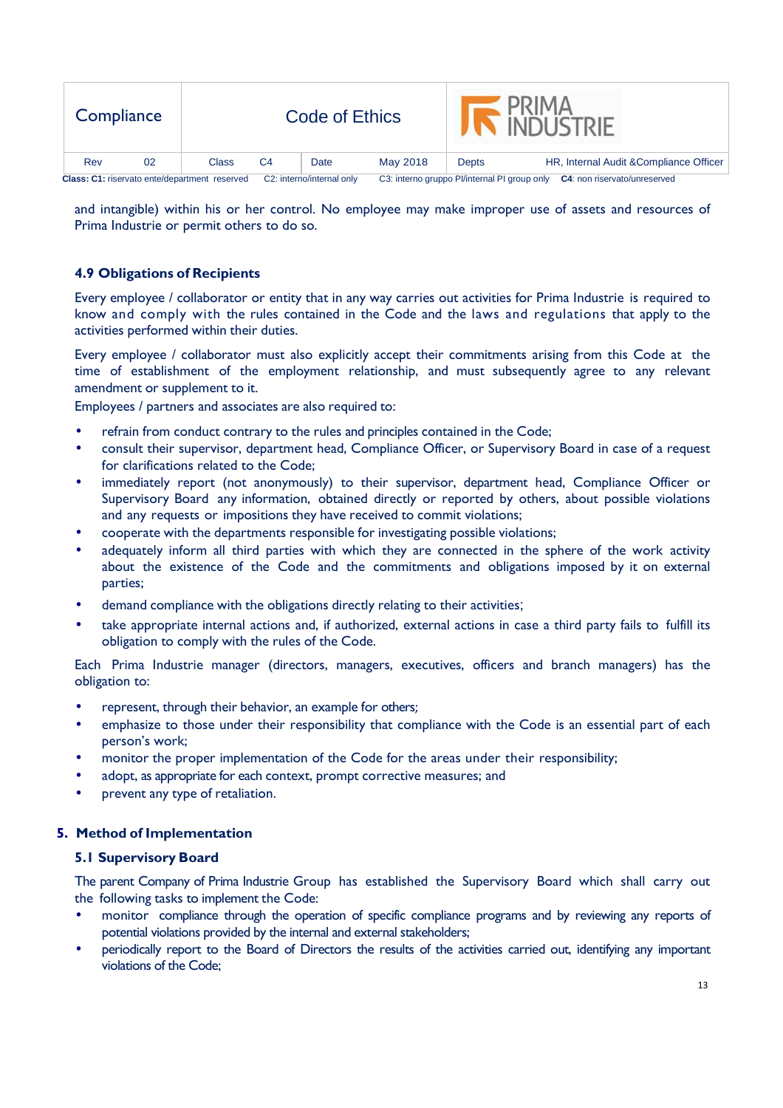| Compliance                                    |    |       |                | Code of Ethics            |          |                                              | <b>PRIMA</b><br><b>INDUSTRIE</b>        |  |  |
|-----------------------------------------------|----|-------|----------------|---------------------------|----------|----------------------------------------------|-----------------------------------------|--|--|
| Rev                                           | 02 | Class | C <sub>4</sub> | Date                      | May 2018 | <b>Depts</b>                                 | HR, Internal Audit & Compliance Officer |  |  |
| Class: C1: riservato ente/department reserved |    |       |                | C2: interno/internal only |          | C3: interno gruppo Pl/internal PI group only | C4: non riservato/unreserved            |  |  |

and intangible) within his or her control. No employee may make improper use of assets and resources of Prima Industrie or permit others to do so.

# **4.9 Obligations of Recipients**

Every employee / collaborator or entity that in any way carries out activities for Prima Industrie is required to know and comply with the rules contained in the Code and the laws and regulations that apply to the activities performed within their duties.

Every employee / collaborator must also explicitly accept their commitments arising from this Code at the time of establishment of the employment relationship, and must subsequently agree to any relevant amendment or supplement to it.

Employees / partners and associates are also required to:

- refrain from conduct contrary to the rules and principles contained in the Code;
- consult their supervisor, department head, Compliance Officer, or Supervisory Board in case of a request for clarifications related to the Code;
- immediately report (not anonymously) to their supervisor, department head, Compliance Officer or Supervisory Board any information, obtained directly or reported by others, about possible violations and any requests or impositions they have received to commit violations;
- cooperate with the departments responsible for investigating possible violations;
- adequately inform all third parties with which they are connected in the sphere of the work activity about the existence of the Code and the commitments and obligations imposed by it on external parties;
- demand compliance with the obligations directly relating to their activities;
- take appropriate internal actions and, if authorized, external actions in case a third party fails to fulfill its obligation to comply with the rules of the Code.

Each Prima Industrie manager (directors, managers, executives, officers and branch managers) has the obligation to:

- represent, through their behavior, an example for others;
- emphasize to those under their responsibility that compliance with the Code is an essential part of each person's work;
- monitor the proper implementation of the Code for the areas under their responsibility;
- adopt, as appropriate for each context, prompt corrective measures; and
- prevent any type of retaliation.

## **5. Method of Implementation**

#### **5.1 Supervisory Board**

The parent Company of Prima Industrie Group has established the Supervisory Board which shall carry out the following tasks to implement the Code:

- monitor compliance through the operation of specific compliance programs and by reviewing any reports of potential violations provided by the internal and external stakeholders;
- periodically report to the Board of Directors the results of the activities carried out, identifying any important violations of the Code;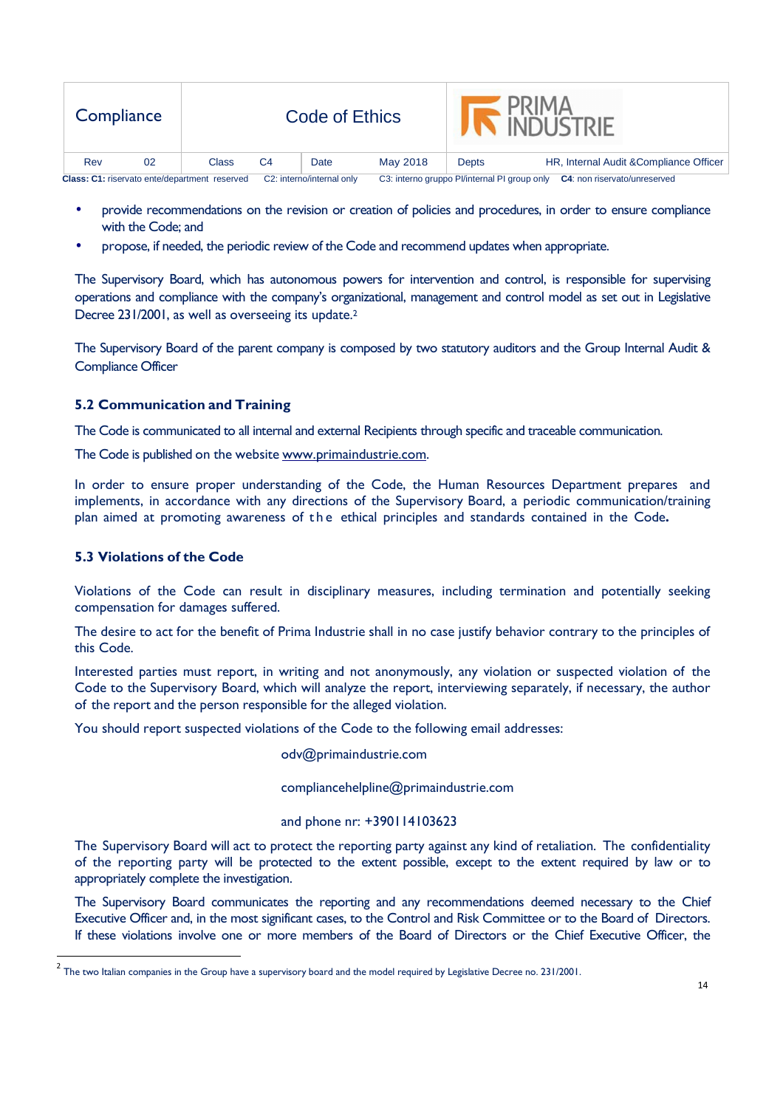| Compliance                                    |    |       |                           | Code of Ethics |          |                                              | <b>PRIMA</b><br><b>A INDI ISTRIE</b>    |
|-----------------------------------------------|----|-------|---------------------------|----------------|----------|----------------------------------------------|-----------------------------------------|
| Rev                                           | 02 | Class | C4                        | Date           | May 2018 | Depts                                        | HR, Internal Audit & Compliance Officer |
| Class: C1: riservato ente/department reserved |    |       | C2: interno/internal only |                |          | C3: interno gruppo Pl/internal PI group only | <b>C4:</b> non riservato/unreserved     |

- provide recommendations on the revision or creation of policies and procedures, in order to ensure compliance with the Code; and
- propose, if needed, the periodic review of the Code and recommend updates when appropriate.

The Supervisory Board, which has autonomous powers for intervention and control, is responsible for supervising operations and compliance with the company's organizational, management and control model as set out in Legislative Decree 231/2001, as well as overseeing its update.<sup>2</sup>

The Supervisory Board of the parent company is composed by two statutory auditors and the Group Internal Audit & Compliance Officer

# **5.2 Communication and Training**

The Code is communicated to all internal and external Recipients through specific and traceable communication.

The Code is published on the website www.primaindustrie.com.

In order to ensure proper understanding of the Code, the Human Resources Department prepares and implements, in accordance with any directions of the Supervisory Board, a periodic communication/training plan aimed at promoting awareness of t h e ethical principles and standards contained in the Code**.** 

## **5.3 Violations of the Code**

<u>.</u>

Violations of the Code can result in disciplinary measures, including termination and potentially seeking compensation for damages suffered.

The desire to act for the benefit of Prima Industrie shall in no case justify behavior contrary to the principles of this Code.

Interested parties must report, in writing and not anonymously, any violation or suspected violation of the Code to the Supervisory Board, which will analyze the report, interviewing separately, if necessary, the author of the report and the person responsible for the alleged violation.

You should report suspected violations of the Code to the following email addresses:

odv@primaindustrie.com

compliancehelpline@primaindustrie.com

#### and phone nr: +390114103623

The Supervisory Board will act to protect the reporting party against any kind of retaliation. The confidentiality of the reporting party will be protected to the extent possible, except to the extent required by law or to appropriately complete the investigation.

The Supervisory Board communicates the reporting and any recommendations deemed necessary to the Chief Executive Officer and, in the most significant cases, to the Control and Risk Committee or to the Board of Directors. If these violations involve one or more members of the Board of Directors or the Chief Executive Officer, the

 $^2$  The two Italian companies in the Group have a supervisory board and the model required by Legislative Decree no. 231/2001.